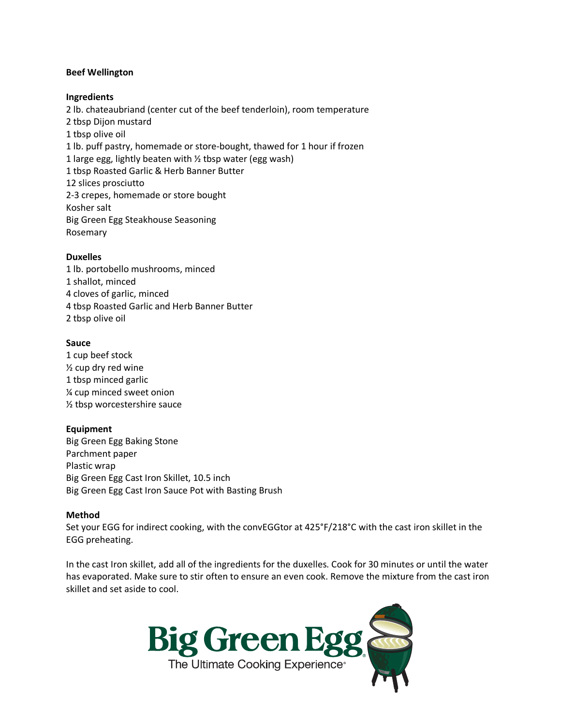## **Beef Wellington**

## **Ingredients**

2 lb. chateaubriand (center cut of the beef tenderloin), room temperature 2 tbsp Dijon mustard 1 tbsp olive oil 1 lb. puff pastry, homemade or store-bought, thawed for 1 hour if frozen 1 large egg, lightly beaten with  $\frac{1}{2}$  tbsp water (egg wash) 1 tbsp Roasted Garlic & Herb Banner Butter 12 slices prosciutto 2-3 crepes, homemade or store bought Kosher salt Big Green Egg Steakhouse Seasoning Rosemary

#### **Duxelles**

1 lb. portobello mushrooms, minced 1 shallot, minced 4 cloves of garlic, minced 4 tbsp Roasted Garlic and Herb Banner Butter 2 tbsp olive oil

#### **Sauce**

1 cup beef stock ½ cup dry red wine 1 tbsp minced garlic ¼ cup minced sweet onion ½ tbsp worcestershire sauce

# **Equipment**

Big Green Egg Baking Stone Parchment paper Plastic wrap Big Green Egg Cast Iron Skillet, 10.5 inch Big Green Egg Cast Iron Sauce Pot with Basting Brush

#### **Method**

Set your EGG for indirect cooking, with the convEGGtor at 425°F/218°C with the cast iron skillet in the EGG preheating.

In the cast Iron skillet, add all of the ingredients for the duxelles. Cook for 30 minutes or until the water has evaporated. Make sure to stir often to ensure an even cook. Remove the mixture from the cast iron skillet and set aside to cool.